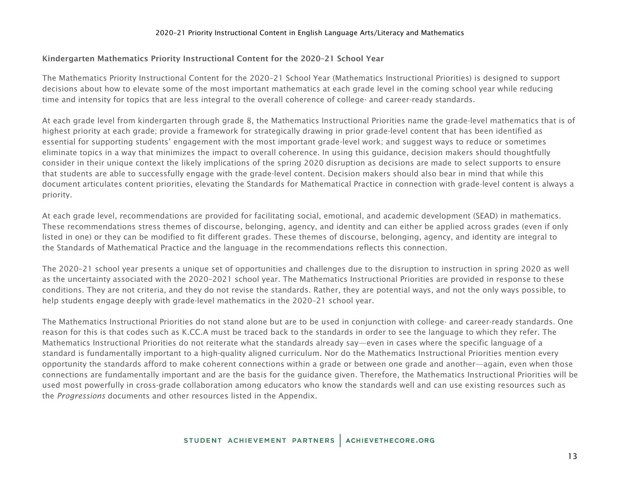### 2020–21 Priority Instructional Content in English Language Arts/Literacy and Mathematics

## Kindergarten Mathematics Priority Instructional Content for the 2020–21 School Year

The Mathematics Priority Instructional Content for the 2020–21 School Year (Mathematics Instructional Priorities) is designed to support decisions about how to elevate some of the most important mathematics at each grade level in the coming school year while reducing time and intensity for topics that are less integral to the overall coherence of college- and career-ready standards.

At each grade level from kindergarten through grade 8, the Mathematics Instructional Priorities name the grade-level mathematics that is of highest priority at each grade; provide a framework for strategically drawing in prior grade-level content that has been identified as essential for supporting students' engagement with the most important grade-level work; and suggest ways to reduce or sometimes eliminate topics in a way that minimizes the impact to overall coherence. In using this guidance, decision makers should thoughtfully consider in their unique context the likely implications of the spring 2020 disruption as decisions are made to select supports to ensure that students are able to successfully engage with the grade-level content. Decision makers should also bear in mind that while this document articulates content priorities, elevating the Standards for Mathematical Practice in connection with grade-level content is always a priority.

At each grade level, recommendations are provided for facilitating social, emotional, and academic development (SEAD) in mathematics. These recommendations stress themes of discourse, belonging, agency, and identity and can either be applied across grades (even if only listed in one) or they can be modified to fit different grades. These themes of discourse, belonging, agency, and identity are integral to the Standards of Mathematical Practice and the language in the recommendations reflects this connection.

The 2020–21 school year presents a unique set of opportunities and challenges due to the disruption to instruction in spring 2020 as well as the uncertainty associated with the 2020–2021 school year. The Mathematics Instructional Priorities are provided in response to these conditions. They are not criteria, and they do not revise the standards. Rather, they are potential ways, and not the only ways possible, to help students engage deeply with grade-level mathematics in the 2020–21 school year.

The Mathematics Instructional Priorities do not stand alone but are to be used in conjunction with college- and career-ready standards. One reason for this is that codes such as K.CC.A must be traced back to the standards in order to see the language to which they refer. The Mathematics Instructional Priorities do not reiterate what the standards already say—even in cases where the specific language of a standard is fundamentally important to a high-quality aligned curriculum. Nor do the Mathematics Instructional Priorities mention every opportunity the standards afford to make coherent connections within a grade or between one grade and another—again, even when those connections are fundamentally important and are the basis for the guidance given. Therefore, the Mathematics Instructional Priorities will be used most powerfully in cross-grade collaboration among educators who know the standards well and can use existing resources such as the *Progressions* documents and other resources listed in the Appendix.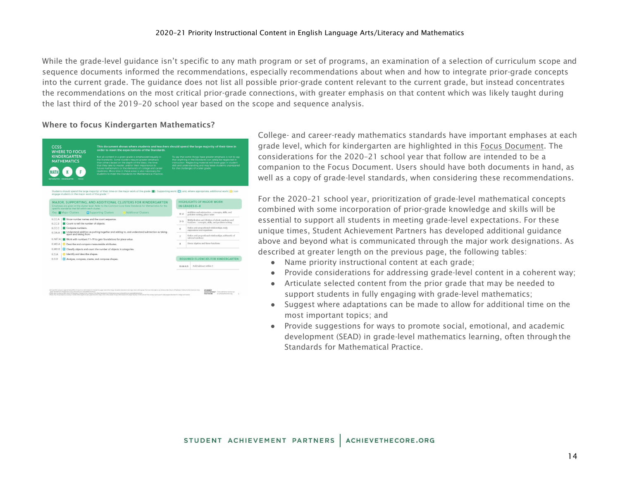### 2020–21 Priority Instructional Content in English Language Arts/Literacy and Mathematics

While the grade-level guidance isn't specific to any math program or set of programs, an examination of a selection of curriculum scope and sequence documents informed the recommendations, especially recommendations about when and how to integrate prior-grade concepts into the current grade. The guidance does not list all possible prior-grade content relevant to the current grade, but instead concentrates the recommendations on the most critical prior-grade connections, with greater emphasis on that content which was likely taught during the last third of the 2019–20 school year based on the scope and sequence analysis.

## Where to focus Kindergarten Mathematics?

| <b>WHERE TO FOCUS</b><br><b>KINDERGARTEN</b><br><b>MATHEMATICS</b><br>MATHEMATICS KINDERGARTEN | order to meet the expectations of the Standards.<br>Not all content in a given grade is emphasized equally in<br>the Standards. Some clusters require greater emphasis<br>than others based on the depth of the ideas, the time<br>that they take to master, and/or their importance to<br>future mathematics or the demands of college and career<br>readiness. More time in these areas is also necessary for<br>students to meet the Standards for Mathematical Practice.<br><b>rocus</b> |         | To say that some things have greater emphasis is not to say<br>that anything in the Standards can safely be neglected in<br>instruction. Neglecting material will leave gaps in student<br>skill and understanding and may leave students unprepared<br>for the challenges of a later grade. |
|------------------------------------------------------------------------------------------------|----------------------------------------------------------------------------------------------------------------------------------------------------------------------------------------------------------------------------------------------------------------------------------------------------------------------------------------------------------------------------------------------------------------------------------------------------------------------------------------------|---------|----------------------------------------------------------------------------------------------------------------------------------------------------------------------------------------------------------------------------------------------------------------------------------------------|
|                                                                                                | Students should spend the large majority <sup>2</sup> of their time on the major work of the grade ( $\Box$ ). Supporting work ( $\Box$ ) and, where appropriate, additional work ( $\Box$ ) can<br>engage students in the major work of the grade. <sup>2.3</sup>                                                                                                                                                                                                                           |         |                                                                                                                                                                                                                                                                                              |
|                                                                                                | MAJOR, SUPPORTING, AND ADDITIONAL CLUSTERS FOR KINDERGARTEN<br>Emphases are given at the cluster level. Refer to the Common Core State Standards for Mathematics for the                                                                                                                                                                                                                                                                                                                     |         | <b>HIGHLIGHTS OF MAJOR WORK</b><br>IN GRADES K-8                                                                                                                                                                                                                                             |
| specific standards that fall within each cluster.<br>Key: Maior Clusters                       | <b>El Supporting Clusters</b><br><b>Additional Clusters</b>                                                                                                                                                                                                                                                                                                                                                                                                                                  | $K-2$   | Addition and subtraction - concepts, skills, and<br>problem sohing; place value                                                                                                                                                                                                              |
|                                                                                                | Know number names and the count sequence.                                                                                                                                                                                                                                                                                                                                                                                                                                                    | $3 - 5$ | Multiplication and division of whole numbers and                                                                                                                                                                                                                                             |
|                                                                                                | Count to tell the number of objects.                                                                                                                                                                                                                                                                                                                                                                                                                                                         |         | fractions - concepts, skills, and problem solving                                                                                                                                                                                                                                            |
| K.CC.A.<br>K.CC.B<br>Compare numbers.<br>K.CC.C<br>K.OA.A                                      | Understand addition as putting together and adding to, and understand subtraction as taking                                                                                                                                                                                                                                                                                                                                                                                                  | 6       | Ratios and proportional relationships; early<br>expressions and equations.                                                                                                                                                                                                                   |
|                                                                                                | apart and taking from.                                                                                                                                                                                                                                                                                                                                                                                                                                                                       | 7       | Ratios and proportional relationships; arithmetic of<br>rational numbers                                                                                                                                                                                                                     |
|                                                                                                | K.NBT.A Work with numbers 11-19 to gain foundations for place value.                                                                                                                                                                                                                                                                                                                                                                                                                         | R       | Linear algebra and linear functions                                                                                                                                                                                                                                                          |
|                                                                                                | O Describe and compare measureable attributes.                                                                                                                                                                                                                                                                                                                                                                                                                                               |         |                                                                                                                                                                                                                                                                                              |
|                                                                                                | □ Classify objects and count the number of objects in categories.                                                                                                                                                                                                                                                                                                                                                                                                                            |         |                                                                                                                                                                                                                                                                                              |
| K.MD.A<br>K.MD.B<br>K.G.A.<br>K.G.B                                                            | c Identify and describe shapes.<br>Analyze, compare, create, and compose shapes.                                                                                                                                                                                                                                                                                                                                                                                                             |         | <b>REQUIRED FLUENCIES FOR KINDERGARTEN</b>                                                                                                                                                                                                                                                   |

STUDENT<br>ACHIEVEMENT Find additional resour<br>PARTNERS at a chieved record ong

College- and career-ready mathematics standards have important emphases at each grade level, which for kindergarten are highlighted in this Focus Document. The considerations for the 2020–21 school year that follow are intended to be a companion to the Focus Document. Users should have both documents in hand, as well as a copy of grade-level standards, when considering these recommendations.

For the 2020–21 school year, prioritization of grade-level mathematical concepts combined with some incorporation of prior-grade knowledge and skills will be essential to support all students in meeting grade-level expectations. For these unique times, Student Achievement Partners has developed additional guidance above and beyond what is communicated through the major work designations. As described at greater length on the previous page, the following tables:

- Name priority instructional content at each grade;
- Provide considerations for addressing grade-level content in a coherent way;
- Articulate selected content from the prior grade that may be needed to support students in fully engaging with grade-level mathematics;
- Suggest where adaptations can be made to allow for additional time on the most important topics; and
- Provide suggestions for ways to promote social, emotional, and academic development (SEAD) in grade-level mathematics learning, often through the Standards for Mathematical Practice.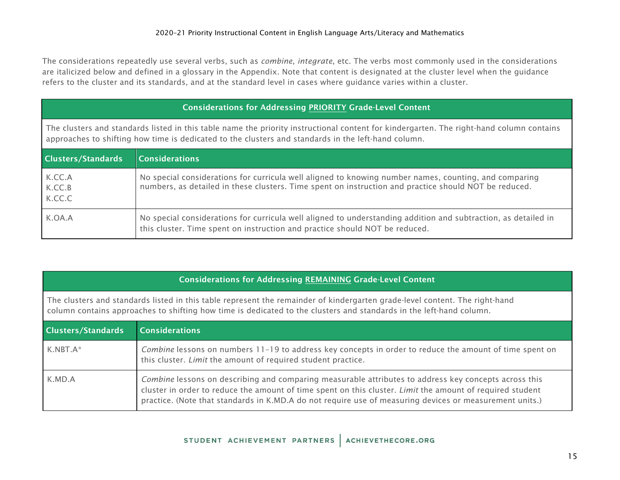The considerations repeatedly use several verbs, such as *combine*, *integrate*, etc. The verbs most commonly used in the considerations are italicized below and defined in a glossary in the Appendix. Note that content is designated at the cluster level when the guidance refers to the cluster and its standards, and at the standard level in cases where guidance varies within a cluster.

| <b>Considerations for Addressing PRIORITY Grade-Level Content</b>                                                                                                                                                                               |                                                                                                                                                                                                                |  |  |  |
|-------------------------------------------------------------------------------------------------------------------------------------------------------------------------------------------------------------------------------------------------|----------------------------------------------------------------------------------------------------------------------------------------------------------------------------------------------------------------|--|--|--|
| The clusters and standards listed in this table name the priority instructional content for kindergarten. The right-hand column contains<br>approaches to shifting how time is dedicated to the clusters and standards in the left-hand column. |                                                                                                                                                                                                                |  |  |  |
| <b>Clusters/Standards</b>                                                                                                                                                                                                                       | Considerations                                                                                                                                                                                                 |  |  |  |
| K.CC.A<br>K.CC.B<br>K.CC.C                                                                                                                                                                                                                      | No special considerations for curricula well aligned to knowing number names, counting, and comparing<br>numbers, as detailed in these clusters. Time spent on instruction and practice should NOT be reduced. |  |  |  |
| K.OA.A                                                                                                                                                                                                                                          | No special considerations for curricula well aligned to understanding addition and subtraction, as detailed in<br>this cluster. Time spent on instruction and practice should NOT be reduced.                  |  |  |  |

# Considerations for Addressing REMAINING Grade-Level Content

The clusters and standards listed in this table represent the remainder of kindergarten grade-level content. The right-hand column contains approaches to shifting how time is dedicated to the clusters and standards in the left-hand column.

| <b>Clusters/Standards</b> | Considerations                                                                                                                                                                                                                                                                                                                |
|---------------------------|-------------------------------------------------------------------------------------------------------------------------------------------------------------------------------------------------------------------------------------------------------------------------------------------------------------------------------|
| $K.NBT.A*$                | Combine lessons on numbers 11-19 to address key concepts in order to reduce the amount of time spent on<br>this cluster. Limit the amount of required student practice.                                                                                                                                                       |
| K.MD.A                    | Combine lessons on describing and comparing measurable attributes to address key concepts across this<br>cluster in order to reduce the amount of time spent on this cluster. Limit the amount of required student<br>practice. (Note that standards in K.MD.A do not require use of measuring devices or measurement units.) |